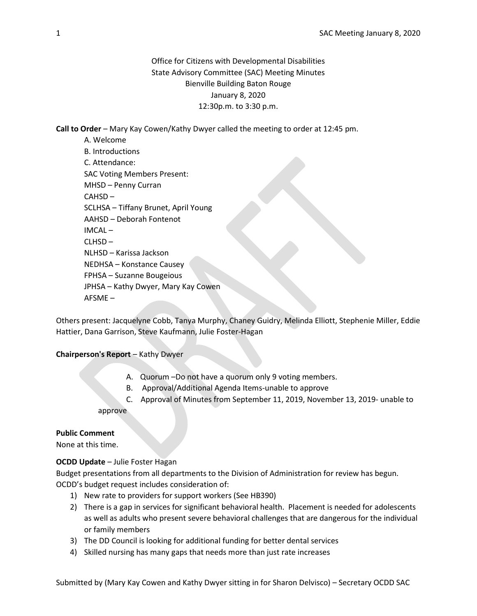Office for Citizens with Developmental Disabilities State Advisory Committee (SAC) Meeting Minutes Bienville Building Baton Rouge January 8, 2020 12:30p.m. to 3:30 p.m.

Call to Order – Mary Kay Cowen/Kathy Dwyer called the meeting to order at 12:45 pm.

A. Welcome B. Introductions C. Attendance: SAC Voting Members Present: MHSD – Penny Curran CAHSD – SCLHSA – Tiffany Brunet, April Young AAHSD – Deborah Fontenot IMCAL –  $CLHSD -$ NLHSD – Karissa Jackson NEDHSA – Konstance Causey FPHSA – Suzanne Bougeious JPHSA – Kathy Dwyer, Mary Kay Cowen AFSME –

Others present: Jacquelyne Cobb, Tanya Murphy, Chaney Guidry, Melinda Elliott, Stephenie Miller, Eddie Hattier, Dana Garrison, Steve Kaufmann, Julie Foster-Hagan

# Chairperson's Report – Kathy Dwyer

- A. Quorum –Do not have a quorum only 9 voting members.
- B. Approval/Additional Agenda Items-unable to approve
- C. Approval of Minutes from September 11, 2019, November 13, 2019- unable to approve

### Public Comment

None at this time.

# OCDD Update – Julie Foster Hagan

Budget presentations from all departments to the Division of Administration for review has begun. OCDD's budget request includes consideration of:

- 1) New rate to providers for support workers (See HB390)
- 2) There is a gap in services for significant behavioral health. Placement is needed for adolescents as well as adults who present severe behavioral challenges that are dangerous for the individual or family members
- 3) The DD Council is looking for additional funding for better dental services
- 4) Skilled nursing has many gaps that needs more than just rate increases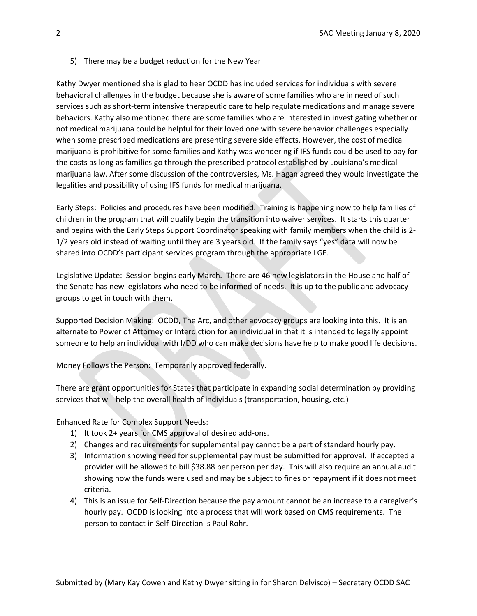### 5) There may be a budget reduction for the New Year

Kathy Dwyer mentioned she is glad to hear OCDD has included services for individuals with severe behavioral challenges in the budget because she is aware of some families who are in need of such services such as short-term intensive therapeutic care to help regulate medications and manage severe behaviors. Kathy also mentioned there are some families who are interested in investigating whether or not medical marijuana could be helpful for their loved one with severe behavior challenges especially when some prescribed medications are presenting severe side effects. However, the cost of medical marijuana is prohibitive for some families and Kathy was wondering if IFS funds could be used to pay for the costs as long as families go through the prescribed protocol established by Louisiana's medical marijuana law. After some discussion of the controversies, Ms. Hagan agreed they would investigate the legalities and possibility of using IFS funds for medical marijuana.

Early Steps: Policies and procedures have been modified. Training is happening now to help families of children in the program that will qualify begin the transition into waiver services. It starts this quarter and begins with the Early Steps Support Coordinator speaking with family members when the child is 2- 1/2 years old instead of waiting until they are 3 years old. If the family says "yes" data will now be shared into OCDD's participant services program through the appropriate LGE.

Legislative Update: Session begins early March. There are 46 new legislators in the House and half of the Senate has new legislators who need to be informed of needs. It is up to the public and advocacy groups to get in touch with them.

Supported Decision Making: OCDD, The Arc, and other advocacy groups are looking into this. It is an alternate to Power of Attorney or Interdiction for an individual in that it is intended to legally appoint someone to help an individual with I/DD who can make decisions have help to make good life decisions.

Money Follows the Person: Temporarily approved federally.

There are grant opportunities for States that participate in expanding social determination by providing services that will help the overall health of individuals (transportation, housing, etc.)

Enhanced Rate for Complex Support Needs:

- 1) It took 2+ years for CMS approval of desired add-ons.
- 2) Changes and requirements for supplemental pay cannot be a part of standard hourly pay.
- 3) Information showing need for supplemental pay must be submitted for approval. If accepted a provider will be allowed to bill \$38.88 per person per day. This will also require an annual audit showing how the funds were used and may be subject to fines or repayment if it does not meet criteria.
- 4) This is an issue for Self-Direction because the pay amount cannot be an increase to a caregiver's hourly pay. OCDD is looking into a process that will work based on CMS requirements. The person to contact in Self-Direction is Paul Rohr.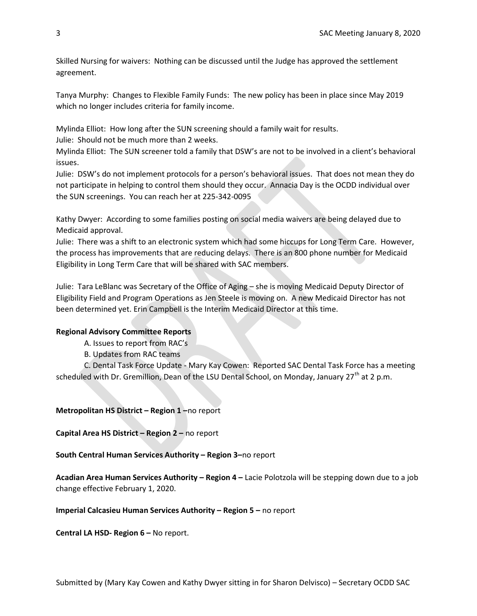Skilled Nursing for waivers: Nothing can be discussed until the Judge has approved the settlement agreement.

Tanya Murphy: Changes to Flexible Family Funds: The new policy has been in place since May 2019 which no longer includes criteria for family income.

Mylinda Elliot: How long after the SUN screening should a family wait for results.

Julie: Should not be much more than 2 weeks.

Mylinda Elliot: The SUN screener told a family that DSW's are not to be involved in a client's behavioral issues.

Julie: DSW's do not implement protocols for a person's behavioral issues. That does not mean they do not participate in helping to control them should they occur. Annacia Day is the OCDD individual over the SUN screenings. You can reach her at 225-342-0095

Kathy Dwyer: According to some families posting on social media waivers are being delayed due to Medicaid approval.

Julie: There was a shift to an electronic system which had some hiccups for Long Term Care. However, the process has improvements that are reducing delays. There is an 800 phone number for Medicaid Eligibility in Long Term Care that will be shared with SAC members.

Julie: Tara LeBlanc was Secretary of the Office of Aging – she is moving Medicaid Deputy Director of Eligibility Field and Program Operations as Jen Steele is moving on. A new Medicaid Director has not been determined yet. Erin Campbell is the Interim Medicaid Director at this time.

### Regional Advisory Committee Reports

A. Issues to report from RAC's

B. Updates from RAC teams

C. Dental Task Force Update - Mary Kay Cowen: Reported SAC Dental Task Force has a meeting scheduled with Dr. Gremillion, Dean of the LSU Dental School, on Monday, January 27<sup>th</sup> at 2 p.m.

Metropolitan HS District – Region 1 –no report

Capital Area HS District – Region 2 – no report

South Central Human Services Authority – Region 3–no report

Acadian Area Human Services Authority – Region 4 – Lacie Polotzola will be stepping down due to a job change effective February 1, 2020.

Imperial Calcasieu Human Services Authority – Region 5 – no report

Central LA HSD- Region 6 – No report.